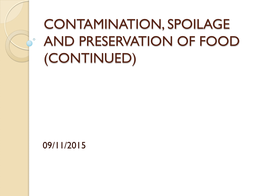# CONTAMINATION, SPOILAGE AND PRESERVATION OF FOOD (CONTINUED)

09/11/2015

 $\circ$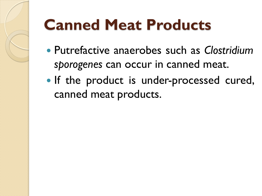# **Canned Meat Products**

- Putrefactive anaerobes such as *Clostridium sporogenes* can occur in canned meat.
- If the product is under-processed cured, canned meat products.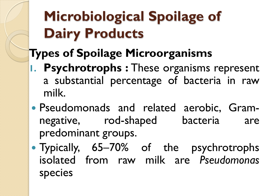# **Microbiological Spoilage of Dairy Products**

### **Types of Spoilage Microorganisms**

- **1. Psychrotrophs :** These organisms represent a substantial percentage of bacteria in raw milk.
- Pseudomonads and related aerobic, Gramnegative, rod-shaped bacteria are predominant groups.
- Typically, 65–70% of the psychrotrophs isolated from raw milk are *Pseudomonas* species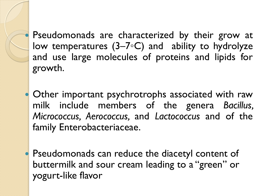Pseudomonads are characterized by their grow at low temperatures (3–7◦C) and ability to hydrolyze and use large molecules of proteins and lipids for growth.

 Other important psychrotrophs associated with raw milk include members of the genera *Bacillus, Micrococcus, Aerococcus,* and *Lactococcus* and of the family Enterobacteriaceae.

 Pseudomonads can reduce the diacetyl content of buttermilk and sour cream leading to a "green" or yogurt-like flavor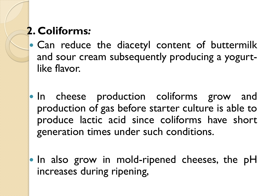### **2. Coliforms***:*

- Can reduce the diacetyl content of buttermilk and sour cream subsequently producing a yogurtlike flavor.
- . In cheese production coliforms grow and production of gas before starter culture is able to produce lactic acid since coliforms have short generation times under such conditions.
- In also grow in mold-ripened cheeses, the pH increases during ripening,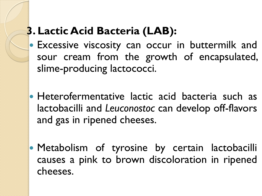### **3. Lactic Acid Bacteria (LAB):**

- Excessive viscosity can occur in buttermilk and sour cream from the growth of encapsulated, slime-producing lactococci.
- Heterofermentative lactic acid bacteria such as lactobacilli and *Leuconostoc* can develop off-flavors and gas in ripened cheeses.
- **Metabolism of tyrosine by certain lactobacilli** causes a pink to brown discoloration in ripened cheeses.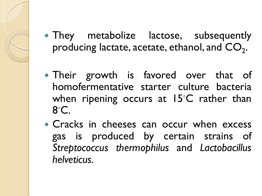- They metabolize lactose, subsequently producing lactate, acetate, ethanol, and  $\mathsf{CO}_{2}$ .
- Their growth is favored over that of homofermentative starter culture bacteria when ripening occurs at 15°C rather than 8°C.
- Cracks in cheeses can occur when excess gas is produced by certain strains of *Streptococcus thermophilus* and *Lactobacillus helveticus.*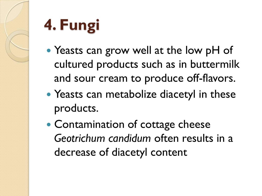# **4. Fungi**

- Yeasts can grow well at the low pH of cultured products such as in buttermilk and sour cream to produce off-flavors.
- Yeasts can metabolize diacetyl in these products.
- Contamination of cottage cheese *Geotrichum candidum* often results in a decrease of diacetyl content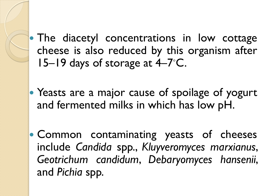- The diacetyl concentrations in low cottage cheese is also reduced by this organism after 15–19 days of storage at 4–7°C.
- Yeasts are a major cause of spoilage of yogurt and fermented milks in which has low pH.
- Common contaminating yeasts of cheeses include *Candida* spp., *Kluyveromyces marxianus*, *Geotrichum candidum*, *Debaryomyces hansenii*, and *Pichia* spp.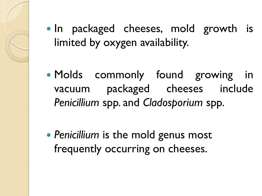- In packaged cheeses, mold growth is limited by oxygen availability.
- Molds commonly found growing in vacuum packaged cheeses include *Penicillium* spp. and *Cladosporium* spp.

 *Penicillium* is the mold genus most frequently occurring on cheeses.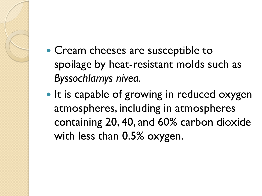- Cream cheeses are susceptible to spoilage by heat-resistant molds such as *Byssochlamys nivea.*
- It is capable of growing in reduced oxygen atmospheres, including in atmospheres containing 20, 40, and 60% carbon dioxide with less than 0.5% oxygen.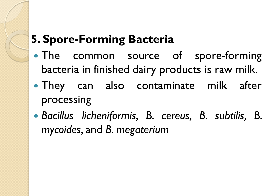### **5. Spore-Forming Bacteria**

- The common source of spore-forming bacteria in finished dairy products is raw milk.
- They can also contaminate milk after processing
- *Bacillus licheniformis, B. cereus, B. subtilis, B. mycoides,* and *B. megaterium*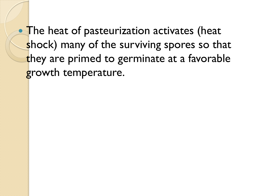• The heat of pasteurization activates (heat shock) many of the surviving spores so that they are primed to germinate at a favorable growth temperature.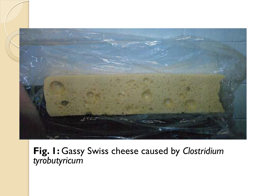

**Fig. 1:** Gassy Swiss cheese caused by *Clostridium tyrobutyricum*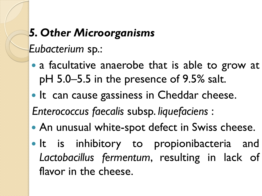### *5. Other Microorganisms*

*Eubacterium* sp.:

- a facultative anaerobe that is able to grow at pH 5.0–5.5 in the presence of 9.5% salt.
- It can cause gassiness in Cheddar cheese.

*Enterococcus faecalis* subsp. *liquefaciens* :

- An unusual white-spot defect in Swiss cheese.
- It is inhibitory to propionibacteria and *Lactobacillus fermentum*, resulting in lack of flavor in the cheese.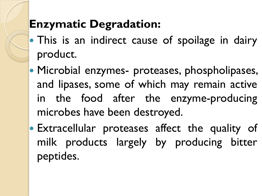### **Enzymatic Degradation:**

- This is an indirect cause of spoilage in dairy product.
- **Microbial enzymes- proteases, phospholipases,** and lipases, some of which may remain active in the food after the enzyme-producing microbes have been destroyed.
- **Extracellular proteases affect the quality of** milk products largely by producing bitter peptides.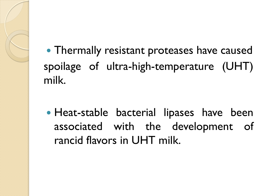Thermally resistant proteases have caused spoilage of ultra-high-temperature (UHT) milk.

 Heat-stable bacterial lipases have been associated with the development of rancid flavors in UHT milk.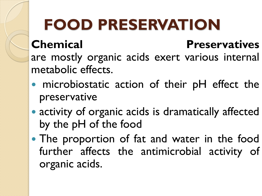# **FOOD PRESERVATION**

### **Chemical Preservatives**

are mostly organic acids exert various internal metabolic effects.

- microbiostatic action of their pH effect the preservative
- activity of organic acids is dramatically affected by the pH of the food
- The proportion of fat and water in the food further affects the antimicrobial activity of organic acids.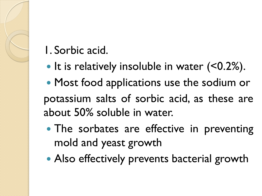### 1. Sorbic acid.

• It is relatively insoluble in water (<0.2%).

 Most food applications use the sodium or potassium salts of sorbic acid, as these are about 50% soluble in water.

- The sorbates are effective in preventing mold and yeast growth
- Also effectively prevents bacterial growth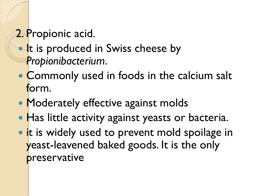### 2. Propionic acid.

### **It is produced in Swiss cheese by** *Propionibacterium*.

- Commonly used in foods in the calcium salt form.
- Moderately effective against molds
- Has little activity against yeasts or bacteria.
- **.** it is widely used to prevent mold spoilage in yeast-leavened baked goods. It is the only preservative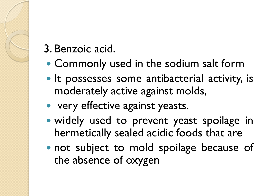### 3. Benzoic acid.

- Commonly used in the sodium salt form
- It possesses some antibacterial activity, is moderately active against molds,
- very effective against yeasts.
- widely used to prevent yeast spoilage in hermetically sealed acidic foods that are
- not subject to mold spoilage because of the absence of oxygen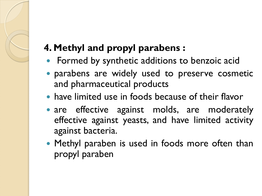### **4. Methyl and propyl parabens :**

- Formed by synthetic additions to benzoic acid
- parabens are widely used to preserve cosmetic and pharmaceutical products
- have limited use in foods because of their flavor
- are effective against molds, are moderately effective against yeasts, and have limited activity against bacteria.
- Methyl paraben is used in foods more often than propyl paraben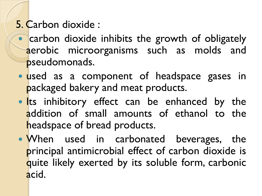### 5. Carbon dioxide :

- carbon dioxide inhibits the growth of obligately aerobic microorganisms such as molds and pseudomonads.
- used as a component of headspace gases in packaged bakery and meat products.
- **Its inhibitory effect can be enhanced by the** addition of small amounts of ethanol to the headspace of bread products.
- When used in carbonated beverages, the principal antimicrobial effect of carbon dioxide is quite likely exerted by its soluble form, carbonic acid.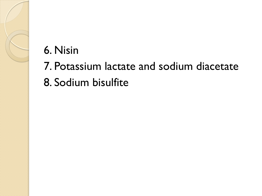### 6. Nisin

- 7. Potassium lactate and sodium diacetate
- 8. Sodium bisulfite